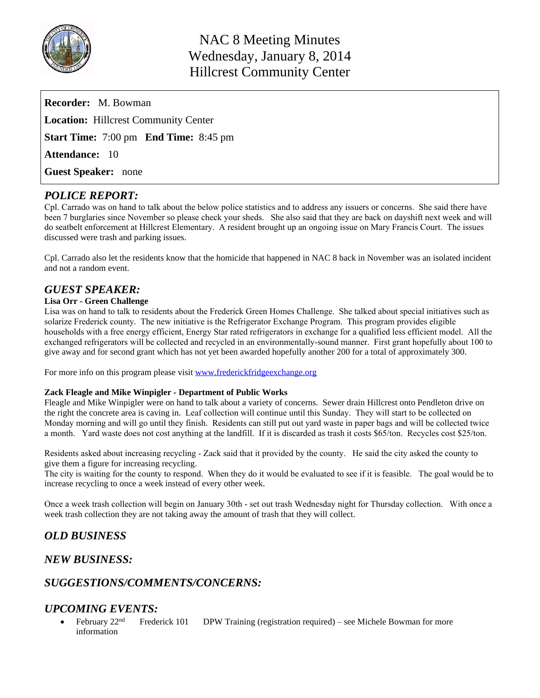

| <b>Recorder:</b> M. Bowman                          |
|-----------------------------------------------------|
| <b>Location:</b> Hillcrest Community Center         |
| <b>Start Time:</b> 7:00 pm <b>End Time:</b> 8:45 pm |
| <b>Attendance: 10</b>                               |
| <b>Guest Speaker:</b> none                          |

### *POLICE REPORT:*

Cpl. Carrado was on hand to talk about the below police statistics and to address any issuers or concerns. She said there have been 7 burglaries since November so please check your sheds. She also said that they are back on dayshift next week and will do seatbelt enforcement at Hillcrest Elementary. A resident brought up an ongoing issue on Mary Francis Court. The issues discussed were trash and parking issues.

Cpl. Carrado also let the residents know that the homicide that happened in NAC 8 back in November was an isolated incident and not a random event.

## *GUEST SPEAKER:*

#### **Lisa Orr - Green Challenge**

Lisa was on hand to talk to residents about the Frederick Green Homes Challenge. She talked about special initiatives such as solarize Frederick county. The new initiative is the Refrigerator Exchange Program. This program provides eligible households with a free energy efficient, Energy Star rated refrigerators in exchange for a qualified less efficient model. All the exchanged refrigerators will be collected and recycled in an environmentally-sound manner. First grant hopefully about 100 to give away and for second grant which has not yet been awarded hopefully another 200 for a total of approximately 300.

For more info on this program please visit [www.frederickfridgeexchange.org](http://www.frederickfridgeexchange.org)

#### **Zack Fleagle and Mike Winpigler - Department of Public Works**

Fleagle and Mike Winpigler were on hand to talk about a variety of concerns. Sewer drain Hillcrest onto Pendleton drive on the right the concrete area is caving in. Leaf collection will continue until this Sunday. They will start to be collected on Monday morning and will go until they finish. Residents can still put out yard waste in paper bags and will be collected twice a month. Yard waste does not cost anything at the landfill. If it is discarded as trash it costs \$65/ton. Recycles cost \$25/ton.

Residents asked about increasing recycling - Zack said that it provided by the county. He said the city asked the county to give them a figure for increasing recycling.

The city is waiting for the county to respond. When they do it would be evaluated to see if it is feasible. The goal would be to increase recycling to once a week instead of every other week.

Once a week trash collection will begin on January 30th - set out trash Wednesday night for Thursday collection. With once a week trash collection they are not taking away the amount of trash that they will collect.

## *OLD BUSINESS*

#### *NEW BUSINESS:*

## *SUGGESTIONS/COMMENTS/CONCERNS:*

#### *UPCOMING EVENTS:*

February  $22<sup>nd</sup>$  Frederick 101 DPW Training (registration required) – see Michele Bowman for more information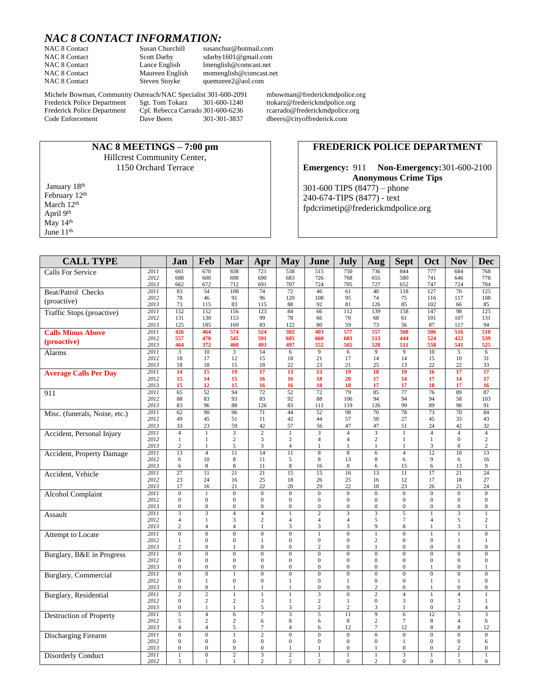# *NAC 8 CONTACT INFORMATION:*

**NAC 8 MEETINGS – 7:00 pm** Hillcrest Community Center, 1150 Orchard Terrace

NAC 8 Contact Susan Churchill susanchur@hotmail.com<br>
NAC 8 Contact Scott Darby sdarby 1601@gmail.com NAC 8 Contact Scott Darby sdarby 1601@gmail.com<br>
NAC 8 Contact Lance English Imenglish@comcast.net NAC 8 Contact Lance English [lmenglish@comcast.net](mailto:lmenglish@comcast.net)<br>NAC 8 Contact Maureen English momenglish@comcast.n NAC 8 Contact Maureen English momenglish @comcast.net<br>NAC 8 Contact Steven Stoyke quemzeee2@aol.com [quemzeee2@aol.com](mailto:quemzeee2@aol.com)

Michele Bowman, Community Outreach/NAC Specialist 301-600-2091 mbowman@frederickmdpolice.org<br>Frederick Police Department Sgt. Tom Tokarz 301-600-1240 ttokarz@frederickmdpolice.org Frederick Police Department Sgt. Tom Tokarz 301-600-1240 ttokarz@frederickmdpolice.org<br>Frederick Police Department Cpl. Rebecca Carrado 301-600-6236 rcarrado@frederickmdpolice.org Frederick Police Department Cpl. Rebecca Carrado 301-600-6236<br>Code Enforcement Dave Beers 301-301-3837

dbeers@cityoffrederick.com

#### **FREDERICK POLICE DEPARTMENT**

**Emergency:** 911 **Non-Emergency:**301-600-2100 **Anonymous Crime Tips** 301-600 TIPS (8477) – phone 240-674-TIPS (8477) - text [fpdcrimetip@frederickmdpolice.org](mailto:fpdcrimetip@frederickmdpolice.org)

| <b>CALL TYPE</b>               |              | Jan                                  | Feb                              | Mar                              | Apr                                | <b>May</b>                        | June                             | July                               | Aug                                | <b>Sept</b>                      | Oct                            | <b>Nov</b>                         | <b>Dec</b>                     |
|--------------------------------|--------------|--------------------------------------|----------------------------------|----------------------------------|------------------------------------|-----------------------------------|----------------------------------|------------------------------------|------------------------------------|----------------------------------|--------------------------------|------------------------------------|--------------------------------|
| <b>Calls For Service</b>       | 2011         | 661                                  | 670                              | 838                              | 721                                | 538                               | 515                              | 750                                | 736                                | 844                              | 777                            | 684                                | 768                            |
|                                | 2012         | 688                                  | 600                              | 698                              | 690                                | 683                               | 726                              | 768                                | 655                                | 580                              | 741                            | 646                                | 778                            |
|                                | 2013         | 662                                  | 672                              | 712                              | 691                                | 707                               | 724                              | 705                                | 727                                | 652                              | 747                            | 724                                | 704                            |
| Beat/Patrol Checks             | 2011         | 83                                   | 54                               | 108                              | 74                                 | 72                                | 46                               | 61                                 | 40                                 | 118                              | 127                            | 70                                 | 125                            |
| (proactive)                    | 2012<br>2013 | 78<br>73                             | 46<br>115                        | 91<br>83                         | 96<br>115                          | 120<br>88                         | 108<br>92                        | 95<br>81                           | 74<br>126                          | 75<br>85                         | 116<br>102                     | 117<br>66                          | 108<br>85                      |
| Traffic Stops (proactive)      | 2011         | 152                                  | 152                              | 156                              | 123                                | 84                                | 66                               | 112                                | 139                                | 158                              | 147                            | 98                                 | 125                            |
|                                | 2012         | 131                                  | 130                              | 153                              | 99                                 | 78                                | 66                               | 70                                 | 68                                 | 61                               | 101                            | 107                                | 131                            |
|                                | 2013         | 125                                  | 185                              | 169                              | 83                                 | 122                               | 80                               | 59                                 | 73                                 | 56                               | 87                             | 117                                | 94                             |
| <b>Calls Minus Above</b>       | 2011<br>2012 | 426<br>557                           | 464<br>470                       | 574<br>545                       | 524<br>591                         | 382<br>605                        | 403<br>660                       | 577<br>603                         | 557<br>513                         | 568<br>444                       | 506<br>524                     | 516<br>422                         | 518<br>539                     |
| (proactive)                    | 2013         | 464                                  | 372                              | 460                              | 493                                | 497                               | 552                              | 565                                | 528                                | 511                              | 558                            | 541                                | 525                            |
| Alarms                         | 2011         | 3                                    | 10                               | 3                                | 14                                 | 6                                 | 9                                | 6                                  | 9                                  | 9                                | 10                             | 5                                  | 6                              |
|                                | 2012         | 18                                   | 17                               | 12                               | 15                                 | 18                                | 21                               | 17                                 | 14                                 | 14                               | 15                             | 10                                 | 31                             |
|                                | 2013<br>2011 | 18<br>$\overline{14}$                | 18<br>$\overline{15}$            | 15<br>$\overline{19}$            | 18<br>$\overline{17}$              | 22<br>$\overline{13}$             | 23<br>$\overline{13}$            | 21<br>$\overline{19}$              | 25<br>$\overline{18}$              | 13<br>$\overline{19}$            | 22<br>$\overline{16}$          | 22<br>$\overline{17}$              | 33<br>$\overline{17}$          |
| <b>Average Calls Per Dav</b>   | 2012         | 15                                   | 14                               | 15                               | 16                                 | 16                                | 18                               | 20                                 | 17                                 | 14                               | 17                             | 14                                 | 17                             |
|                                | 2013         | 15                                   | 12                               | 15                               | 16                                 | 16                                | 18                               | 18                                 | 17                                 | 17                               | 18                             | 17                                 | 16                             |
| 911                            | 2011         | 65                                   | $\overline{52}$                  | 94                               | $\overline{72}$                    | $\overline{52}$                   | $\overline{72}$                  | 79                                 | 85                                 | 77                               | 76                             | 89                                 | 87                             |
|                                | 2012         | 88                                   | 83                               | 93                               | 83                                 | 92                                | 88                               | 106                                | 94                                 | 94                               | 94                             | 58                                 | 103                            |
|                                | 2013<br>2011 | 83<br>62                             | 96<br>$\overline{90}$            | 88<br>96                         | 126<br>$\overline{71}$             | 83<br>$\overline{44}$             | 111<br>52                        | 119<br>98                          | 126<br>$\overline{70}$             | 99<br>$\overline{78}$            | 89<br>$\overline{73}$          | 98<br>$\overline{70}$              | 91<br>84                       |
| Misc. (funerals, Noise, etc.)  | 2012         | 49                                   | 45                               | 51                               | 11                                 | 42                                | 44                               | 57                                 | 50                                 | 27                               | 45                             | 33                                 | 43                             |
|                                | 2013         | 33                                   | 23                               | 59                               | 42                                 | 57                                | 56                               | 47                                 | 47                                 | 51                               | 24                             | 42                                 | 32                             |
| Accident, Personal Injury      | 2011         | $\overline{4}$                       | 1                                |                                  | $\overline{2}$                     | $\mathbf{1}$                      | $\overline{\mathbf{3}}$          | $\overline{4}$                     | $\overline{\mathbf{3}}$            | $\mathbf{1}$                     | $\overline{4}$                 | $\overline{4}$                     | $\overline{4}$                 |
|                                | 2012         | $\mathbf{1}$                         | $\mathbf{1}$                     | $\overline{2}$                   | 3                                  | $\overline{c}$                    | $\overline{4}$                   | $\overline{4}$                     | $\overline{c}$                     | $\mathbf{1}$                     | $\mathbf{1}$                   | $\overline{0}$                     | $\mathbf{2}$                   |
|                                | 2013<br>2011 | $\overline{c}$<br>13                 | $\mathbf{1}$<br>$\overline{4}$   | 5<br>$\overline{11}$             | 3<br>$\overline{14}$               | $\overline{4}$<br>$\overline{11}$ | 1<br>$\overline{8}$              | $\mathbf{1}$<br>$\overline{8}$     | $\mathbf{1}$<br>6                  | 1<br>$\overline{4}$              | 3<br>$\overline{12}$           | $\overline{0}$<br>$\overline{10}$  | $\overline{c}$<br>13           |
| Accident, Property Damage      | 2012         | 6                                    | 10                               | 8                                | 11                                 | 5                                 | 8                                | 13                                 | 8                                  | 6                                | 9                              | 6                                  | 16                             |
|                                | 2013         | 6                                    | 8                                | 8                                | 11                                 | $\,$ 8 $\,$                       | 16                               | 8                                  | 6                                  | 15                               | 6                              | 13                                 | 9                              |
| Accident, Vehicle              | 2011         | 27                                   | $\overline{11}$                  | $\overline{21}$                  | $\overline{21}$                    | 15                                | 15                               | 16                                 | 13                                 | 11                               | 17                             | 21                                 | 24                             |
|                                | 2012         | 23                                   | 24                               | 16                               | 25                                 | 18                                | 26                               | 25                                 | 16                                 | 12                               | 17                             | 18                                 | 27                             |
|                                | 2013<br>2011 | 17<br>$\overline{0}$                 | 16<br>$\mathbf{1}$               | 21<br>$\overline{0}$             | 22<br>$\overline{0}$               | 20<br>$\overline{0}$              | 29<br>$\overline{0}$             | 22<br>$\overline{0}$               | 18<br>$\overline{0}$               | 23<br>$\overline{0}$             | 26<br>$\overline{0}$           | 21<br>$\overline{0}$               | 24<br>$\mathbf{0}$             |
| <b>Alcohol Complaint</b>       | 2012         | $\boldsymbol{0}$                     | $\mathbf{0}$                     | $\boldsymbol{0}$                 | $\mathbf{0}$                       | $\boldsymbol{0}$                  | $\mathbf{0}$                     | $\mathbf{0}$                       | $\boldsymbol{0}$                   | $\boldsymbol{0}$                 | $\mathbf{0}$                   | $\overline{0}$                     | $\boldsymbol{0}$               |
|                                | 2013         | $\boldsymbol{0}$                     | $\boldsymbol{0}$                 | $\boldsymbol{0}$                 | $\boldsymbol{0}$                   | $\boldsymbol{0}$                  | $\boldsymbol{0}$                 | $\boldsymbol{0}$                   | $\boldsymbol{0}$                   | $\boldsymbol{0}$                 | $\boldsymbol{0}$               | $\boldsymbol{0}$                   | $\boldsymbol{0}$               |
| Assault                        | 2011         | $\overline{\mathbf{3}}$              | $\overline{\mathbf{3}}$          | $\overline{4}$                   | $\overline{4}$                     | $\mathbf{1}$                      | $\overline{2}$                   | $\overline{\mathbf{3}}$            | $\overline{\mathbf{3}}$            | 5                                | $\overline{1}$                 | $\overline{\mathbf{3}}$            | $\mathbf{1}$                   |
|                                | 2012<br>2013 | $\overline{4}$<br>$\sqrt{2}$         | $\mathbf{1}$<br>$\overline{4}$   | 3<br>$\overline{4}$              | $\overline{c}$<br>1                | $\overline{4}$<br>3               | $\overline{4}$<br>3              | $\overline{4}$<br>3                | 5<br>9                             | $\tau$<br>8                      | $\overline{4}$<br>$\mathbf{1}$ | 5<br>3                             | $\mathbf{2}$<br>$\mathbf{1}$   |
| Attempt to Locate              | 2011         | $\boldsymbol{0}$                     | $\overline{0}$                   | $\overline{0}$                   | $\overline{0}$                     | $\boldsymbol{0}$                  | $1\,$                            | $\overline{0}$                     | $\,1$                              | $\overline{0}$                   | $\mathbf{1}$                   | $\mathbf{1}$                       | $\boldsymbol{0}$               |
|                                | 2012         | $\mathbf{1}$                         | $\mathbf{0}$                     | $\mathbf{0}$                     | 1                                  | $\mathbf{0}$                      | $\Omega$                         | $\overline{0}$                     | $\sqrt{2}$                         | $\Omega$                         | $\mathbf{0}$                   | $\mathbf{1}$                       | $\mathbf{1}$                   |
|                                | 2013         | $\overline{c}$                       | $\mathbf{0}$                     | $\mathbf{1}$                     | $\mathbf{0}$                       | $\boldsymbol{0}$                  | $\overline{c}$                   | $\overline{0}$                     | $\mathbf{1}$                       | $\mathbf{0}$                     | $\overline{0}$                 | $\boldsymbol{0}$                   | $\mathbf{0}$                   |
| Burglary, B&E in Progress      | 2011         | $\overline{0}$                       | $\overline{0}$                   | $\overline{0}$                   | $\overline{0}$                     | $\overline{0}$                    | $\overline{0}$                   | $\overline{0}$                     | $\overline{0}$                     | $\overline{0}$                   | $\overline{0}$                 | $\overline{0}$                     | $\overline{0}$                 |
|                                | 2012<br>2013 | $\mathbf{0}$<br>$\boldsymbol{0}$     | $\mathbf{0}$<br>$\mathbf{0}$     | $\mathbf{0}$<br>$\boldsymbol{0}$ | $\overline{0}$<br>$\boldsymbol{0}$ | $\mathbf{0}$<br>$\boldsymbol{0}$  | $\overline{0}$<br>$\mathbf{0}$   | $\overline{0}$<br>$\boldsymbol{0}$ | $\mathbf{0}$<br>$\boldsymbol{0}$   | $\mathbf{0}$<br>$\boldsymbol{0}$ | $\overline{0}$<br>$\mathbf{1}$ | $\overline{0}$<br>$\boldsymbol{0}$ | $\mathbf{0}$<br>$\mathbf{1}$   |
| <b>Burglary</b> , Commercial   | 2011         | $\mathbf{0}$                         | $\Omega$                         | $\mathbf{1}$                     | $\mathbf{0}$                       | $\mathbf{0}$                      | $\overline{0}$                   | $\overline{0}$                     | $\mathbf{0}$                       | $\overline{0}$                   | $\mathbf{0}$                   | $\mathbf{0}$                       | $\mathbf{0}$                   |
|                                | 2012         | $\mathbf{0}$                         | 1                                | $\mathbf{0}$                     | $\mathbf{0}$                       | $\mathbf{1}$                      | $\Omega$                         | 1                                  | $\mathbf{0}$                       | $\mathbf{0}$                     | $\mathbf{1}$                   | 1                                  | $\mathbf{0}$                   |
|                                | 2013         | $\boldsymbol{0}$                     | $\mathbf{0}$                     | 1                                | 1                                  | $\mathbf{1}$                      | $\overline{0}$                   | $\overline{0}$                     | $\overline{c}$                     | $\theta$                         | 1                              | $\overline{0}$                     | $\mathbf{0}$                   |
| <b>Burglary</b> , Residential  | 2011         | $\overline{2}$                       | $\overline{2}$<br>$\overline{c}$ | $\mathbf{1}$<br>$\overline{c}$   | 1                                  | $\mathbf{1}$                      | $\overline{3}$                   | $\overline{0}$                     | $\overline{2}$                     | $\overline{4}$<br>3              | $\mathbf{1}$<br>$\mathbf{0}$   | $\overline{4}$                     | $\mathbf{1}$                   |
|                                | 2012<br>2013 | $\boldsymbol{0}$<br>$\boldsymbol{0}$ | $\mathbf{1}$                     | $\mathbf{1}$                     | 3<br>5                             | $\mathbf{1}$<br>3                 | $\overline{c}$<br>$\overline{c}$ | $\mathbf{1}$<br>$\overline{c}$     | $\boldsymbol{0}$<br>3              | $\mathbf{1}$                     | $\mathbf{0}$                   | 3<br>$\overline{c}$                | $\mathbf{1}$<br>$\overline{4}$ |
| <b>Destruction of Property</b> | 2011         | $\overline{5}$                       | $\overline{4}$                   | $\overline{6}$                   | $\overline{7}$                     | $\overline{\mathbf{3}}$           | 5                                | 11                                 | $\overline{9}$                     | $\overline{6}$                   | 12                             | $\overline{5}$                     | $\overline{\mathbf{3}}$        |
|                                | 2012         | 5                                    | $\overline{c}$                   | $\overline{2}$                   | 6                                  | 8                                 | 6                                | 8                                  | $\overline{c}$                     | $\overline{7}$                   | 8                              | $\overline{4}$                     | 6                              |
|                                | 2013         | $\overline{4}$                       | $\overline{4}$                   | 5                                | $\tau$                             | $\overline{4}$                    | 6                                | 12                                 | $\tau$                             | 12                               | $\,$ 8 $\,$                    | 8                                  | 12                             |
| <b>Discharging Firearm</b>     | 2011<br>2012 | $\overline{0}$<br>$\boldsymbol{0}$   | $\overline{0}$<br>$\mathbf{0}$   | $\overline{1}$<br>$\mathbf{0}$   | $\overline{2}$<br>$\mathbf{0}$     | $\overline{0}$<br>$\mathbf{0}$    | $\overline{0}$<br>$\overline{0}$ | $\overline{0}$<br>$\mathbf{0}$     | $\overline{0}$<br>$\boldsymbol{0}$ | $\overline{0}$<br>1              | $\overline{0}$<br>$\mathbf{0}$ | $\overline{0}$<br>$\boldsymbol{0}$ | $\overline{0}$<br>6            |
|                                | 2013         | $\mathbf{0}$                         | $\boldsymbol{0}$                 | $\boldsymbol{0}$                 | $\boldsymbol{0}$                   | $\mathbf{1}$                      | $\mathbf{1}$                     | $\boldsymbol{0}$                   | $\mathbf{1}$                       | $\boldsymbol{0}$                 | $\boldsymbol{0}$               | $\overline{c}$                     | $\boldsymbol{0}$               |
| <b>Disorderly Conduct</b>      | 2011         | $\mathbf{1}$                         | $\overline{0}$                   | $\overline{2}$                   | $\overline{\mathbf{3}}$            | $\overline{2}$                    | $1\,$                            | $\mathbf{1}$                       | $\mathbf{1}$                       | $\overline{\mathbf{3}}$          | $\mathbf{1}$                   | 1                                  | $\mathbf{1}$                   |
|                                | 2012         | 3                                    | $\mathbf{1}$                     | $\mathbf{1}$                     | $\overline{c}$                     | $\overline{c}$                    | $\overline{c}$                   | $\overline{0}$                     | $\overline{c}$                     | $\overline{0}$                   | $\overline{0}$                 | 3                                  | $\mathbf{0}$                   |

January 18th February 12<sup>th</sup> March 12<sup>th</sup> April 9th May 14<sup>th</sup> June 11<sup>th</sup>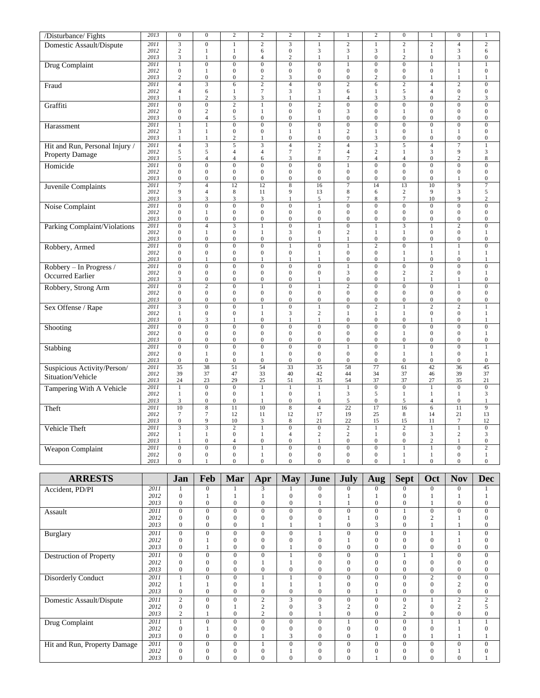| $\overline{2}$<br>2011<br>$\overline{\mathbf{3}}$<br>$\overline{0}$<br>$\overline{\mathbf{3}}$<br>$\overline{1}$<br>$\overline{2}$<br>$\overline{2}$<br>$\overline{2}$<br>$\overline{4}$<br>$\mathbf{1}$<br>$\mathbf{1}$<br>Domestic Assault/Dispute<br>$\sqrt{2}$<br>2012<br>$\boldsymbol{0}$<br>3<br>3<br>3<br>3<br>$\mathbf{1}$<br>6<br>$\mathbf{1}$<br>$\mathbf{1}$<br>1<br>$\boldsymbol{0}$<br>2013<br>3<br>$\mathbf{0}$<br>$\sqrt{2}$<br>$\sqrt{2}$<br>$\boldsymbol{0}$<br>3<br>$\mathbf{1}$<br>1<br>$\overline{4}$<br>1<br>$\overline{0}$<br>$\overline{0}$<br><b>Drug Complaint</b><br>2011<br>$\mathbf{1}$<br>$\bf{0}$<br>$\boldsymbol{0}$<br>$\mathbf{0}$<br>$\boldsymbol{0}$<br>$1\,$<br>$\mathbf{0}$<br>$\mathbf{1}$<br>$\mathbf{1}$<br>2012<br>$\mathbf{0}$<br>$\boldsymbol{0}$<br>$\boldsymbol{0}$<br>$\mathbf{0}$<br>$\boldsymbol{0}$<br>$\boldsymbol{0}$<br>$\boldsymbol{0}$<br>$\mathbf{0}$<br>$\boldsymbol{0}$<br>$\mathbf{1}$<br>$\mathbf{1}$<br>$\boldsymbol{0}$<br>$\boldsymbol{0}$<br>$\overline{2}$<br>$\boldsymbol{0}$<br>$\overline{2}$<br>2013<br>$\overline{c}$<br>3<br>$\mathbf{0}$<br>$\boldsymbol{0}$<br>$\mathbf{1}$<br>$\mathbf{1}$<br>$\overline{\mathbf{3}}$<br>$\overline{6}$<br>$\overline{2}$<br>$\overline{4}$<br>$\overline{0}$<br>$\overline{2}$<br>$\overline{6}$<br>$\overline{2}$<br>$\overline{2}$<br>2011<br>$\overline{4}$<br>$\overline{4}$<br>Fraud<br>$\boldsymbol{7}$<br>2012<br>6<br>3<br>3<br>6<br>5<br>$\overline{4}$<br>$\boldsymbol{0}$<br>$\overline{4}$<br>$\mathbf{1}$<br>$\mathbf{1}$<br>2013<br>$\sqrt{2}$<br>$\ensuremath{\mathfrak{Z}}$<br>$\mathfrak{Z}$<br>$\overline{4}$<br>3<br>3<br>$\boldsymbol{0}$<br>$\sqrt{2}$<br>$\mathbf{1}$<br>$\mathbf{1}$<br>$\mathbf{1}$<br>2011<br>$\overline{0}$<br>$\overline{0}$<br>$\overline{2}$<br>$\overline{1}$<br>$\overline{0}$<br>$\overline{2}$<br>$\overline{0}$<br>$\overline{0}$<br>$\overline{0}$<br>$\overline{0}$<br>$\overline{0}$<br>Graffiti<br>$\sqrt{2}$<br>$\boldsymbol{0}$<br>$\mathbf{0}$<br>$\mathbf{0}$<br>$\boldsymbol{0}$<br>3<br>$\boldsymbol{0}$<br>$\boldsymbol{0}$<br>$\boldsymbol{0}$<br>2012<br>$\mathbf{1}$<br>1<br>$\sqrt{5}$<br>$\boldsymbol{0}$<br>2013<br>$\mathbf{0}$<br>$\overline{4}$<br>$\boldsymbol{0}$<br>$\mathbf{0}$<br>$\boldsymbol{0}$<br>$\mathbf{0}$<br>$\boldsymbol{0}$<br>$\boldsymbol{0}$<br>1<br>$\overline{0}$<br>$\overline{0}$<br>$\overline{0}$<br>$\overline{0}$<br>$\overline{0}$<br>$\overline{0}$<br>$\overline{0}$<br>$\overline{0}$<br>2011<br>$\mathbf{1}$<br>$\mathbf{0}$<br>$\mathbf{1}$<br>Harassment<br>$\overline{c}$<br>3<br>$\boldsymbol{0}$<br>$\mathbf{0}$<br>2012<br>$\mathbf{1}$<br>$\mathbf{1}$<br>$\mathbf{1}$<br>$\overline{0}$<br>$\mathbf{1}$<br>1<br>$\mathbf{1}$<br>$\boldsymbol{0}$<br>$\sqrt{2}$<br>$\boldsymbol{0}$<br>$\boldsymbol{0}$<br>3<br>$\boldsymbol{0}$<br>$\boldsymbol{0}$<br>2013<br>$\mathbf{1}$<br>$\mathbf{1}$<br>$\mathbf{1}$<br>$\boldsymbol{0}$<br>$\overline{\mathbf{3}}$<br>$\overline{\mathbf{3}}$<br>$\overline{2}$<br>$\overline{4}$<br>$\overline{\mathbf{3}}$<br>$\overline{4}$<br>$\overline{7}$<br>2011<br>$\overline{4}$<br>5<br>$\overline{4}$<br>5<br>Hit and Run, Personal Injury /<br>2012<br>5<br>5<br>$\overline{4}$<br>$\overline{4}$<br>$7\phantom{.0}$<br>$\tau$<br>$\overline{4}$<br>$\sqrt{2}$<br>3<br>9<br>$\mathbf{1}$<br>Property Damage<br>2013<br>$\overline{4}$<br>$\overline{4}$<br>3<br>$\,$ 8 $\,$<br>$\tau$<br>$\overline{4}$<br>$\boldsymbol{0}$<br>$\sqrt{2}$<br>5<br>6<br>$\overline{4}$<br>$\overline{0}$<br>$\overline{0}$<br>$\overline{0}$<br>$\overline{0}$<br>$\overline{0}$<br>$\overline{0}$<br>$\overline{0}$<br>$\overline{0}$<br>2011<br>$\boldsymbol{0}$<br>$\mathbf{0}$<br>$\mathbf{1}$<br>Homicide<br>2012<br>$\mathbf{0}$<br>$\boldsymbol{0}$<br>$\boldsymbol{0}$<br>$\boldsymbol{0}$<br>$\mathbf{0}$<br>$\boldsymbol{0}$<br>$\boldsymbol{0}$<br>$\mathbf{0}$<br>$\mathbf{0}$<br>$\boldsymbol{0}$<br>$\boldsymbol{0}$<br>2013<br>$\boldsymbol{0}$<br>$\boldsymbol{0}$<br>$\boldsymbol{0}$<br>$\boldsymbol{0}$<br>$\mathbf{0}$<br>$\boldsymbol{0}$<br>$\mathbf{0}$<br>$\boldsymbol{0}$<br>$\mathbf{0}$<br>$\boldsymbol{0}$<br>$\mathbf{1}$<br>2011<br>$\overline{7}$<br>$\overline{4}$<br>12<br>12<br>$\overline{\bf 8}$<br>16<br>$\overline{7}$<br>$\overline{14}$<br>13<br>10<br>$\overline{9}$<br>Juvenile Complaints<br>3<br>2012<br>9<br>$\overline{4}$<br>$\,$ 8 $\,$<br>9<br>8<br>$\overline{c}$<br>9<br>11<br>13<br>6 | $\overline{2}$<br>6<br>$\boldsymbol{0}$<br>$1\,$<br>$\boldsymbol{0}$<br>$\mathbf{1}$<br>$\overline{0}$<br>$\boldsymbol{0}$<br>3<br>$\overline{0}$<br>$\boldsymbol{0}$<br>$\boldsymbol{0}$<br>$\overline{0}$<br>$\boldsymbol{0}$<br>$\boldsymbol{0}$<br>$\,1$<br>3<br>8<br>$\overline{0}$ |
|---------------------------------------------------------------------------------------------------------------------------------------------------------------------------------------------------------------------------------------------------------------------------------------------------------------------------------------------------------------------------------------------------------------------------------------------------------------------------------------------------------------------------------------------------------------------------------------------------------------------------------------------------------------------------------------------------------------------------------------------------------------------------------------------------------------------------------------------------------------------------------------------------------------------------------------------------------------------------------------------------------------------------------------------------------------------------------------------------------------------------------------------------------------------------------------------------------------------------------------------------------------------------------------------------------------------------------------------------------------------------------------------------------------------------------------------------------------------------------------------------------------------------------------------------------------------------------------------------------------------------------------------------------------------------------------------------------------------------------------------------------------------------------------------------------------------------------------------------------------------------------------------------------------------------------------------------------------------------------------------------------------------------------------------------------------------------------------------------------------------------------------------------------------------------------------------------------------------------------------------------------------------------------------------------------------------------------------------------------------------------------------------------------------------------------------------------------------------------------------------------------------------------------------------------------------------------------------------------------------------------------------------------------------------------------------------------------------------------------------------------------------------------------------------------------------------------------------------------------------------------------------------------------------------------------------------------------------------------------------------------------------------------------------------------------------------------------------------------------------------------------------------------------------------------------------------------------------------------------------------------------------------------------------------------------------------------------------------------------------------------------------------------------------------------------------------------------------------------------------------------------------------------------------------------------------------------------------------------------------------------------------------------------------------------------------------------------------------------------------------------------------------------------------------------------------------------------------------------------------------------------------------------------------------------------------------------------------------------------------------------------------------------------------------------------------------------------------------------------------------------------------------------------------------------------------------------------------------------------------------------------------------------------------------------------------------------------------------------------------------------------------------------------------------------------------------------------------------------------------|------------------------------------------------------------------------------------------------------------------------------------------------------------------------------------------------------------------------------------------------------------------------------------------|
|                                                                                                                                                                                                                                                                                                                                                                                                                                                                                                                                                                                                                                                                                                                                                                                                                                                                                                                                                                                                                                                                                                                                                                                                                                                                                                                                                                                                                                                                                                                                                                                                                                                                                                                                                                                                                                                                                                                                                                                                                                                                                                                                                                                                                                                                                                                                                                                                                                                                                                                                                                                                                                                                                                                                                                                                                                                                                                                                                                                                                                                                                                                                                                                                                                                                                                                                                                                                                                                                                                                                                                                                                                                                                                                                                                                                                                                                                                                                                                                                                                                                                                                                                                                                                                                                                                                                                                                                                                                                                       |                                                                                                                                                                                                                                                                                          |
|                                                                                                                                                                                                                                                                                                                                                                                                                                                                                                                                                                                                                                                                                                                                                                                                                                                                                                                                                                                                                                                                                                                                                                                                                                                                                                                                                                                                                                                                                                                                                                                                                                                                                                                                                                                                                                                                                                                                                                                                                                                                                                                                                                                                                                                                                                                                                                                                                                                                                                                                                                                                                                                                                                                                                                                                                                                                                                                                                                                                                                                                                                                                                                                                                                                                                                                                                                                                                                                                                                                                                                                                                                                                                                                                                                                                                                                                                                                                                                                                                                                                                                                                                                                                                                                                                                                                                                                                                                                                                       |                                                                                                                                                                                                                                                                                          |
|                                                                                                                                                                                                                                                                                                                                                                                                                                                                                                                                                                                                                                                                                                                                                                                                                                                                                                                                                                                                                                                                                                                                                                                                                                                                                                                                                                                                                                                                                                                                                                                                                                                                                                                                                                                                                                                                                                                                                                                                                                                                                                                                                                                                                                                                                                                                                                                                                                                                                                                                                                                                                                                                                                                                                                                                                                                                                                                                                                                                                                                                                                                                                                                                                                                                                                                                                                                                                                                                                                                                                                                                                                                                                                                                                                                                                                                                                                                                                                                                                                                                                                                                                                                                                                                                                                                                                                                                                                                                                       |                                                                                                                                                                                                                                                                                          |
|                                                                                                                                                                                                                                                                                                                                                                                                                                                                                                                                                                                                                                                                                                                                                                                                                                                                                                                                                                                                                                                                                                                                                                                                                                                                                                                                                                                                                                                                                                                                                                                                                                                                                                                                                                                                                                                                                                                                                                                                                                                                                                                                                                                                                                                                                                                                                                                                                                                                                                                                                                                                                                                                                                                                                                                                                                                                                                                                                                                                                                                                                                                                                                                                                                                                                                                                                                                                                                                                                                                                                                                                                                                                                                                                                                                                                                                                                                                                                                                                                                                                                                                                                                                                                                                                                                                                                                                                                                                                                       |                                                                                                                                                                                                                                                                                          |
|                                                                                                                                                                                                                                                                                                                                                                                                                                                                                                                                                                                                                                                                                                                                                                                                                                                                                                                                                                                                                                                                                                                                                                                                                                                                                                                                                                                                                                                                                                                                                                                                                                                                                                                                                                                                                                                                                                                                                                                                                                                                                                                                                                                                                                                                                                                                                                                                                                                                                                                                                                                                                                                                                                                                                                                                                                                                                                                                                                                                                                                                                                                                                                                                                                                                                                                                                                                                                                                                                                                                                                                                                                                                                                                                                                                                                                                                                                                                                                                                                                                                                                                                                                                                                                                                                                                                                                                                                                                                                       |                                                                                                                                                                                                                                                                                          |
|                                                                                                                                                                                                                                                                                                                                                                                                                                                                                                                                                                                                                                                                                                                                                                                                                                                                                                                                                                                                                                                                                                                                                                                                                                                                                                                                                                                                                                                                                                                                                                                                                                                                                                                                                                                                                                                                                                                                                                                                                                                                                                                                                                                                                                                                                                                                                                                                                                                                                                                                                                                                                                                                                                                                                                                                                                                                                                                                                                                                                                                                                                                                                                                                                                                                                                                                                                                                                                                                                                                                                                                                                                                                                                                                                                                                                                                                                                                                                                                                                                                                                                                                                                                                                                                                                                                                                                                                                                                                                       |                                                                                                                                                                                                                                                                                          |
|                                                                                                                                                                                                                                                                                                                                                                                                                                                                                                                                                                                                                                                                                                                                                                                                                                                                                                                                                                                                                                                                                                                                                                                                                                                                                                                                                                                                                                                                                                                                                                                                                                                                                                                                                                                                                                                                                                                                                                                                                                                                                                                                                                                                                                                                                                                                                                                                                                                                                                                                                                                                                                                                                                                                                                                                                                                                                                                                                                                                                                                                                                                                                                                                                                                                                                                                                                                                                                                                                                                                                                                                                                                                                                                                                                                                                                                                                                                                                                                                                                                                                                                                                                                                                                                                                                                                                                                                                                                                                       |                                                                                                                                                                                                                                                                                          |
|                                                                                                                                                                                                                                                                                                                                                                                                                                                                                                                                                                                                                                                                                                                                                                                                                                                                                                                                                                                                                                                                                                                                                                                                                                                                                                                                                                                                                                                                                                                                                                                                                                                                                                                                                                                                                                                                                                                                                                                                                                                                                                                                                                                                                                                                                                                                                                                                                                                                                                                                                                                                                                                                                                                                                                                                                                                                                                                                                                                                                                                                                                                                                                                                                                                                                                                                                                                                                                                                                                                                                                                                                                                                                                                                                                                                                                                                                                                                                                                                                                                                                                                                                                                                                                                                                                                                                                                                                                                                                       |                                                                                                                                                                                                                                                                                          |
|                                                                                                                                                                                                                                                                                                                                                                                                                                                                                                                                                                                                                                                                                                                                                                                                                                                                                                                                                                                                                                                                                                                                                                                                                                                                                                                                                                                                                                                                                                                                                                                                                                                                                                                                                                                                                                                                                                                                                                                                                                                                                                                                                                                                                                                                                                                                                                                                                                                                                                                                                                                                                                                                                                                                                                                                                                                                                                                                                                                                                                                                                                                                                                                                                                                                                                                                                                                                                                                                                                                                                                                                                                                                                                                                                                                                                                                                                                                                                                                                                                                                                                                                                                                                                                                                                                                                                                                                                                                                                       |                                                                                                                                                                                                                                                                                          |
|                                                                                                                                                                                                                                                                                                                                                                                                                                                                                                                                                                                                                                                                                                                                                                                                                                                                                                                                                                                                                                                                                                                                                                                                                                                                                                                                                                                                                                                                                                                                                                                                                                                                                                                                                                                                                                                                                                                                                                                                                                                                                                                                                                                                                                                                                                                                                                                                                                                                                                                                                                                                                                                                                                                                                                                                                                                                                                                                                                                                                                                                                                                                                                                                                                                                                                                                                                                                                                                                                                                                                                                                                                                                                                                                                                                                                                                                                                                                                                                                                                                                                                                                                                                                                                                                                                                                                                                                                                                                                       |                                                                                                                                                                                                                                                                                          |
|                                                                                                                                                                                                                                                                                                                                                                                                                                                                                                                                                                                                                                                                                                                                                                                                                                                                                                                                                                                                                                                                                                                                                                                                                                                                                                                                                                                                                                                                                                                                                                                                                                                                                                                                                                                                                                                                                                                                                                                                                                                                                                                                                                                                                                                                                                                                                                                                                                                                                                                                                                                                                                                                                                                                                                                                                                                                                                                                                                                                                                                                                                                                                                                                                                                                                                                                                                                                                                                                                                                                                                                                                                                                                                                                                                                                                                                                                                                                                                                                                                                                                                                                                                                                                                                                                                                                                                                                                                                                                       |                                                                                                                                                                                                                                                                                          |
|                                                                                                                                                                                                                                                                                                                                                                                                                                                                                                                                                                                                                                                                                                                                                                                                                                                                                                                                                                                                                                                                                                                                                                                                                                                                                                                                                                                                                                                                                                                                                                                                                                                                                                                                                                                                                                                                                                                                                                                                                                                                                                                                                                                                                                                                                                                                                                                                                                                                                                                                                                                                                                                                                                                                                                                                                                                                                                                                                                                                                                                                                                                                                                                                                                                                                                                                                                                                                                                                                                                                                                                                                                                                                                                                                                                                                                                                                                                                                                                                                                                                                                                                                                                                                                                                                                                                                                                                                                                                                       |                                                                                                                                                                                                                                                                                          |
|                                                                                                                                                                                                                                                                                                                                                                                                                                                                                                                                                                                                                                                                                                                                                                                                                                                                                                                                                                                                                                                                                                                                                                                                                                                                                                                                                                                                                                                                                                                                                                                                                                                                                                                                                                                                                                                                                                                                                                                                                                                                                                                                                                                                                                                                                                                                                                                                                                                                                                                                                                                                                                                                                                                                                                                                                                                                                                                                                                                                                                                                                                                                                                                                                                                                                                                                                                                                                                                                                                                                                                                                                                                                                                                                                                                                                                                                                                                                                                                                                                                                                                                                                                                                                                                                                                                                                                                                                                                                                       | $\boldsymbol{0}$<br>$\boldsymbol{0}$                                                                                                                                                                                                                                                     |
|                                                                                                                                                                                                                                                                                                                                                                                                                                                                                                                                                                                                                                                                                                                                                                                                                                                                                                                                                                                                                                                                                                                                                                                                                                                                                                                                                                                                                                                                                                                                                                                                                                                                                                                                                                                                                                                                                                                                                                                                                                                                                                                                                                                                                                                                                                                                                                                                                                                                                                                                                                                                                                                                                                                                                                                                                                                                                                                                                                                                                                                                                                                                                                                                                                                                                                                                                                                                                                                                                                                                                                                                                                                                                                                                                                                                                                                                                                                                                                                                                                                                                                                                                                                                                                                                                                                                                                                                                                                                                       | 7                                                                                                                                                                                                                                                                                        |
| 3<br>$\overline{\mathbf{3}}$<br>$\overline{\mathbf{3}}$<br>$\,$ 8 $\,$<br>$7\phantom{.0}$<br>10<br>9<br>2013<br>3<br>5<br>$\tau$<br>$\mathbf{1}$                                                                                                                                                                                                                                                                                                                                                                                                                                                                                                                                                                                                                                                                                                                                                                                                                                                                                                                                                                                                                                                                                                                                                                                                                                                                                                                                                                                                                                                                                                                                                                                                                                                                                                                                                                                                                                                                                                                                                                                                                                                                                                                                                                                                                                                                                                                                                                                                                                                                                                                                                                                                                                                                                                                                                                                                                                                                                                                                                                                                                                                                                                                                                                                                                                                                                                                                                                                                                                                                                                                                                                                                                                                                                                                                                                                                                                                                                                                                                                                                                                                                                                                                                                                                                                                                                                                                      | 5<br>$\overline{c}$                                                                                                                                                                                                                                                                      |
| $\overline{0}$<br>$\overline{0}$<br>$\overline{0}$<br>2011<br>$\overline{0}$<br>$\overline{0}$<br>$\overline{0}$<br>$\overline{0}$<br>$\overline{0}$<br>$\overline{0}$<br>$\overline{0}$<br>$\mathbf{1}$<br>Noise Complaint                                                                                                                                                                                                                                                                                                                                                                                                                                                                                                                                                                                                                                                                                                                                                                                                                                                                                                                                                                                                                                                                                                                                                                                                                                                                                                                                                                                                                                                                                                                                                                                                                                                                                                                                                                                                                                                                                                                                                                                                                                                                                                                                                                                                                                                                                                                                                                                                                                                                                                                                                                                                                                                                                                                                                                                                                                                                                                                                                                                                                                                                                                                                                                                                                                                                                                                                                                                                                                                                                                                                                                                                                                                                                                                                                                                                                                                                                                                                                                                                                                                                                                                                                                                                                                                           | $\boldsymbol{0}$                                                                                                                                                                                                                                                                         |
| $\boldsymbol{0}$<br>$\boldsymbol{0}$<br>2012<br>$\boldsymbol{0}$<br>$\mathbf{1}$<br>$\mathbf{0}$<br>$\mathbf{0}$<br>$\mathbf{0}$<br>$\mathbf{0}$<br>$\mathbf{0}$<br>$\mathbf{0}$<br>$\boldsymbol{0}$<br>2013<br>$\boldsymbol{0}$<br>$\boldsymbol{0}$<br>$\boldsymbol{0}$<br>$\boldsymbol{0}$<br>$\boldsymbol{0}$<br>$\boldsymbol{0}$<br>$\boldsymbol{0}$<br>$\boldsymbol{0}$<br>$\mathbf{0}$<br>$\mathbf{0}$<br>$\mathbf{0}$                                                                                                                                                                                                                                                                                                                                                                                                                                                                                                                                                                                                                                                                                                                                                                                                                                                                                                                                                                                                                                                                                                                                                                                                                                                                                                                                                                                                                                                                                                                                                                                                                                                                                                                                                                                                                                                                                                                                                                                                                                                                                                                                                                                                                                                                                                                                                                                                                                                                                                                                                                                                                                                                                                                                                                                                                                                                                                                                                                                                                                                                                                                                                                                                                                                                                                                                                                                                                                                                                                                                                                                                                                                                                                                                                                                                                                                                                                                                                                                                                                                          | $\boldsymbol{0}$<br>$\boldsymbol{0}$                                                                                                                                                                                                                                                     |
| $\overline{2}$<br>2011<br>$\mathbf{0}$<br>$\overline{4}$<br>3<br>$\mathbf{1}$<br>$\mathbf{0}$<br>$\mathbf{1}$<br>$\boldsymbol{0}$<br>$\mathbf{1}$<br>3<br>Parking Complaint/Violations<br>$\mathbf{1}$                                                                                                                                                                                                                                                                                                                                                                                                                                                                                                                                                                                                                                                                                                                                                                                                                                                                                                                                                                                                                                                                                                                                                                                                                                                                                                                                                                                                                                                                                                                                                                                                                                                                                                                                                                                                                                                                                                                                                                                                                                                                                                                                                                                                                                                                                                                                                                                                                                                                                                                                                                                                                                                                                                                                                                                                                                                                                                                                                                                                                                                                                                                                                                                                                                                                                                                                                                                                                                                                                                                                                                                                                                                                                                                                                                                                                                                                                                                                                                                                                                                                                                                                                                                                                                                                                | $\boldsymbol{0}$                                                                                                                                                                                                                                                                         |
| $\boldsymbol{0}$<br>3<br>$\boldsymbol{0}$<br>$\mathbf{2}$<br>$\boldsymbol{0}$<br>$\boldsymbol{0}$<br>2012<br>$\mathbf{0}$<br>$\mathbf{1}$<br>$\mathbf{1}$<br>$\mathbf{1}$<br>$\mathbf{1}$<br>2013<br>$\boldsymbol{0}$<br>$\boldsymbol{0}$<br>$\boldsymbol{0}$<br>$\boldsymbol{0}$<br>$\mathbf{0}$<br>$\boldsymbol{0}$<br>$\boldsymbol{0}$<br>$\mathbf{0}$<br>$\mathbf{1}$<br>$\mathbf{1}$<br>$\mathbf{0}$                                                                                                                                                                                                                                                                                                                                                                                                                                                                                                                                                                                                                                                                                                                                                                                                                                                                                                                                                                                                                                                                                                                                                                                                                                                                                                                                                                                                                                                                                                                                                                                                                                                                                                                                                                                                                                                                                                                                                                                                                                                                                                                                                                                                                                                                                                                                                                                                                                                                                                                                                                                                                                                                                                                                                                                                                                                                                                                                                                                                                                                                                                                                                                                                                                                                                                                                                                                                                                                                                                                                                                                                                                                                                                                                                                                                                                                                                                                                                                                                                                                                             | $\mathbf{1}$<br>$\boldsymbol{0}$                                                                                                                                                                                                                                                         |
| $\overline{0}$<br>$\overline{0}$<br>$\overline{0}$<br>$\overline{2}$<br>2011<br>$\boldsymbol{0}$<br>$\boldsymbol{0}$<br>$\mathbf{1}$<br>$\mathbf{1}$<br>$\mathbf{0}$<br>$\mathbf{1}$<br>$\mathbf{1}$<br>Robbery, Armed                                                                                                                                                                                                                                                                                                                                                                                                                                                                                                                                                                                                                                                                                                                                                                                                                                                                                                                                                                                                                                                                                                                                                                                                                                                                                                                                                                                                                                                                                                                                                                                                                                                                                                                                                                                                                                                                                                                                                                                                                                                                                                                                                                                                                                                                                                                                                                                                                                                                                                                                                                                                                                                                                                                                                                                                                                                                                                                                                                                                                                                                                                                                                                                                                                                                                                                                                                                                                                                                                                                                                                                                                                                                                                                                                                                                                                                                                                                                                                                                                                                                                                                                                                                                                                                                | $\boldsymbol{0}$                                                                                                                                                                                                                                                                         |
| 2012<br>$\mathbf{0}$<br>$\boldsymbol{0}$<br>$\boldsymbol{0}$<br>$\boldsymbol{0}$<br>$\mathbf{0}$<br>$\mathbf{0}$<br>$\boldsymbol{0}$<br>$\mathbf{1}$<br>$\mathbf{1}$<br>$\mathbf{1}$<br>$\mathbf{1}$<br>2013<br>$\boldsymbol{0}$<br>$\boldsymbol{0}$<br>$\boldsymbol{0}$<br>$\boldsymbol{0}$<br>$\boldsymbol{0}$<br>$\boldsymbol{0}$<br>$\mathbf{1}$<br>$\mathbf{1}$<br>$\mathbf{1}$<br>1<br>$\mathbf{1}$                                                                                                                                                                                                                                                                                                                                                                                                                                                                                                                                                                                                                                                                                                                                                                                                                                                                                                                                                                                                                                                                                                                                                                                                                                                                                                                                                                                                                                                                                                                                                                                                                                                                                                                                                                                                                                                                                                                                                                                                                                                                                                                                                                                                                                                                                                                                                                                                                                                                                                                                                                                                                                                                                                                                                                                                                                                                                                                                                                                                                                                                                                                                                                                                                                                                                                                                                                                                                                                                                                                                                                                                                                                                                                                                                                                                                                                                                                                                                                                                                                                                             | $\mathbf{1}$<br>1                                                                                                                                                                                                                                                                        |
| $\mathbf{0}$<br>$\overline{0}$<br>$\overline{0}$<br>$\overline{0}$<br>$\overline{0}$<br>$\overline{0}$<br>$\overline{1}$<br>$\overline{0}$<br>$\overline{0}$<br>$\overline{0}$<br>$\overline{0}$<br>2011<br>Robbery - In Progress /                                                                                                                                                                                                                                                                                                                                                                                                                                                                                                                                                                                                                                                                                                                                                                                                                                                                                                                                                                                                                                                                                                                                                                                                                                                                                                                                                                                                                                                                                                                                                                                                                                                                                                                                                                                                                                                                                                                                                                                                                                                                                                                                                                                                                                                                                                                                                                                                                                                                                                                                                                                                                                                                                                                                                                                                                                                                                                                                                                                                                                                                                                                                                                                                                                                                                                                                                                                                                                                                                                                                                                                                                                                                                                                                                                                                                                                                                                                                                                                                                                                                                                                                                                                                                                                   | $\boldsymbol{0}$                                                                                                                                                                                                                                                                         |
| $\sqrt{2}$<br>$\boldsymbol{0}$<br>$\boldsymbol{0}$<br>$\boldsymbol{0}$<br>$\overline{c}$<br>$\boldsymbol{0}$<br>2012<br>$\mathbf{0}$<br>$\boldsymbol{0}$<br>$\mathbf{0}$<br>3<br>$\mathbf{0}$<br>Occurred Earlier<br>$\mathbf{0}$<br>2013<br>3<br>$\boldsymbol{0}$<br>$\boldsymbol{0}$<br>$\boldsymbol{0}$<br>$\mathbf{0}$<br>$\boldsymbol{0}$<br>$\mathbf{1}$<br>$\mathbf{1}$<br>$\mathbf{1}$<br>1                                                                                                                                                                                                                                                                                                                                                                                                                                                                                                                                                                                                                                                                                                                                                                                                                                                                                                                                                                                                                                                                                                                                                                                                                                                                                                                                                                                                                                                                                                                                                                                                                                                                                                                                                                                                                                                                                                                                                                                                                                                                                                                                                                                                                                                                                                                                                                                                                                                                                                                                                                                                                                                                                                                                                                                                                                                                                                                                                                                                                                                                                                                                                                                                                                                                                                                                                                                                                                                                                                                                                                                                                                                                                                                                                                                                                                                                                                                                                                                                                                                                                   | $\mathbf{1}$<br>$\overline{0}$                                                                                                                                                                                                                                                           |
| $\overline{2}$<br>$\overline{2}$<br>$\overline{0}$<br>2011<br>$\boldsymbol{0}$<br>$\boldsymbol{0}$<br>$\mathbf{1}$<br>$\mathbf{0}$<br>$\mathbf{1}$<br>$\mathbf{0}$<br>$\boldsymbol{0}$<br>$\mathbf{1}$<br>Robbery, Strong Arm                                                                                                                                                                                                                                                                                                                                                                                                                                                                                                                                                                                                                                                                                                                                                                                                                                                                                                                                                                                                                                                                                                                                                                                                                                                                                                                                                                                                                                                                                                                                                                                                                                                                                                                                                                                                                                                                                                                                                                                                                                                                                                                                                                                                                                                                                                                                                                                                                                                                                                                                                                                                                                                                                                                                                                                                                                                                                                                                                                                                                                                                                                                                                                                                                                                                                                                                                                                                                                                                                                                                                                                                                                                                                                                                                                                                                                                                                                                                                                                                                                                                                                                                                                                                                                                         | $\boldsymbol{0}$                                                                                                                                                                                                                                                                         |
| 2012<br>$\mathbf{0}$<br>$\bf{0}$<br>$\boldsymbol{0}$<br>$\boldsymbol{0}$<br>$\mathbf{0}$<br>$\boldsymbol{0}$<br>$\boldsymbol{0}$<br>$\mathbf{0}$<br>$\mathbf{0}$<br>$\boldsymbol{0}$<br>$\boldsymbol{0}$<br>2013<br>$\boldsymbol{0}$<br>$\boldsymbol{0}$<br>$\boldsymbol{0}$<br>$\boldsymbol{0}$<br>$\boldsymbol{0}$<br>$\boldsymbol{0}$<br>$\boldsymbol{0}$<br>$\boldsymbol{0}$<br>$\boldsymbol{0}$<br>$\mathbf{0}$<br>$\mathbf{0}$                                                                                                                                                                                                                                                                                                                                                                                                                                                                                                                                                                                                                                                                                                                                                                                                                                                                                                                                                                                                                                                                                                                                                                                                                                                                                                                                                                                                                                                                                                                                                                                                                                                                                                                                                                                                                                                                                                                                                                                                                                                                                                                                                                                                                                                                                                                                                                                                                                                                                                                                                                                                                                                                                                                                                                                                                                                                                                                                                                                                                                                                                                                                                                                                                                                                                                                                                                                                                                                                                                                                                                                                                                                                                                                                                                                                                                                                                                                                                                                                                                                  | $\boldsymbol{0}$<br>$\boldsymbol{0}$                                                                                                                                                                                                                                                     |
| 2011<br>$\overline{\mathbf{3}}$<br>$\overline{0}$<br>$\overline{0}$<br>$\overline{0}$<br>$\overline{0}$<br>$\overline{2}$<br>$\overline{2}$<br>$\overline{2}$<br>Sex Offense / Rape<br>$\mathbf{1}$<br>$\mathbf{1}$<br>$\,1$                                                                                                                                                                                                                                                                                                                                                                                                                                                                                                                                                                                                                                                                                                                                                                                                                                                                                                                                                                                                                                                                                                                                                                                                                                                                                                                                                                                                                                                                                                                                                                                                                                                                                                                                                                                                                                                                                                                                                                                                                                                                                                                                                                                                                                                                                                                                                                                                                                                                                                                                                                                                                                                                                                                                                                                                                                                                                                                                                                                                                                                                                                                                                                                                                                                                                                                                                                                                                                                                                                                                                                                                                                                                                                                                                                                                                                                                                                                                                                                                                                                                                                                                                                                                                                                          | $\mathbf{1}$                                                                                                                                                                                                                                                                             |
| 2012<br>$\mathbf{1}$<br>$\boldsymbol{0}$<br>$\boldsymbol{0}$<br>3<br>$\sqrt{2}$<br>$\mathbf{1}$<br>$\boldsymbol{0}$<br>$\boldsymbol{0}$<br>$\mathbf{1}$<br>$\mathbf{1}$<br>$\mathbf{1}$<br>2013<br>$\mathbf{0}$<br>3<br>$\boldsymbol{0}$<br>$\boldsymbol{0}$<br>$\mathbf{0}$<br>$\mathbf{0}$<br>$\boldsymbol{0}$<br>$\mathbf{1}$<br>$\mathbf{1}$<br>$\mathbf{1}$<br>$\mathbf{1}$                                                                                                                                                                                                                                                                                                                                                                                                                                                                                                                                                                                                                                                                                                                                                                                                                                                                                                                                                                                                                                                                                                                                                                                                                                                                                                                                                                                                                                                                                                                                                                                                                                                                                                                                                                                                                                                                                                                                                                                                                                                                                                                                                                                                                                                                                                                                                                                                                                                                                                                                                                                                                                                                                                                                                                                                                                                                                                                                                                                                                                                                                                                                                                                                                                                                                                                                                                                                                                                                                                                                                                                                                                                                                                                                                                                                                                                                                                                                                                                                                                                                                                      | $\mathbf{1}$<br>$\mathbf{1}$                                                                                                                                                                                                                                                             |
| 2011<br>$\overline{0}$<br>$\overline{0}$<br>$\overline{0}$<br>$\overline{0}$<br>$\overline{0}$<br>$\overline{0}$<br>$\overline{0}$<br>$\overline{0}$<br>$\overline{0}$<br>$\overline{0}$<br>$\overline{0}$<br>Shooting<br>$\overline{0}$<br>$\boldsymbol{0}$<br>$\boldsymbol{0}$<br>$\boldsymbol{0}$<br>$\mathbf{0}$<br>$\boldsymbol{0}$<br>$\mathbf{0}$<br>$\boldsymbol{0}$<br>$\boldsymbol{0}$<br>$\boldsymbol{0}$<br>2012<br>$\mathbf{1}$                                                                                                                                                                                                                                                                                                                                                                                                                                                                                                                                                                                                                                                                                                                                                                                                                                                                                                                                                                                                                                                                                                                                                                                                                                                                                                                                                                                                                                                                                                                                                                                                                                                                                                                                                                                                                                                                                                                                                                                                                                                                                                                                                                                                                                                                                                                                                                                                                                                                                                                                                                                                                                                                                                                                                                                                                                                                                                                                                                                                                                                                                                                                                                                                                                                                                                                                                                                                                                                                                                                                                                                                                                                                                                                                                                                                                                                                                                                                                                                                                                          | $\overline{0}$<br>$\mathbf{1}$                                                                                                                                                                                                                                                           |
| 2013<br>$\mathbf{0}$<br>$\bf{0}$<br>$\boldsymbol{0}$<br>$\boldsymbol{0}$<br>$\mathbf{0}$<br>$\boldsymbol{0}$<br>$\boldsymbol{0}$<br>$\boldsymbol{0}$<br>$\mathbf{0}$<br>$\boldsymbol{0}$<br>$\boldsymbol{0}$                                                                                                                                                                                                                                                                                                                                                                                                                                                                                                                                                                                                                                                                                                                                                                                                                                                                                                                                                                                                                                                                                                                                                                                                                                                                                                                                                                                                                                                                                                                                                                                                                                                                                                                                                                                                                                                                                                                                                                                                                                                                                                                                                                                                                                                                                                                                                                                                                                                                                                                                                                                                                                                                                                                                                                                                                                                                                                                                                                                                                                                                                                                                                                                                                                                                                                                                                                                                                                                                                                                                                                                                                                                                                                                                                                                                                                                                                                                                                                                                                                                                                                                                                                                                                                                                          | $\boldsymbol{0}$                                                                                                                                                                                                                                                                         |
| 2011<br>$\overline{0}$<br>$\overline{0}$<br>$\overline{0}$<br>$\overline{0}$<br>$\overline{0}$<br>$\overline{0}$<br>$\overline{0}$<br>$\overline{0}$<br>$\overline{0}$<br>$\mathbf{1}$<br>$\mathbf{1}$<br>Stabbing<br>$\boldsymbol{0}$<br>$\mathbf{0}$<br>$\overline{0}$<br>$\mathbf{0}$<br>$\mathbf{0}$<br>2012<br>$\mathbf{0}$<br>$\mathbf{1}$<br>$\mathbf{0}$<br>1<br>-1<br>$\mathbf{1}$                                                                                                                                                                                                                                                                                                                                                                                                                                                                                                                                                                                                                                                                                                                                                                                                                                                                                                                                                                                                                                                                                                                                                                                                                                                                                                                                                                                                                                                                                                                                                                                                                                                                                                                                                                                                                                                                                                                                                                                                                                                                                                                                                                                                                                                                                                                                                                                                                                                                                                                                                                                                                                                                                                                                                                                                                                                                                                                                                                                                                                                                                                                                                                                                                                                                                                                                                                                                                                                                                                                                                                                                                                                                                                                                                                                                                                                                                                                                                                                                                                                                                           | $1\,$<br>$\mathbf{1}$                                                                                                                                                                                                                                                                    |
| $\boldsymbol{0}$<br>$\boldsymbol{0}$<br>$\boldsymbol{0}$<br>$\boldsymbol{0}$<br>$\boldsymbol{0}$<br>$\boldsymbol{0}$<br>$\boldsymbol{0}$<br>$\boldsymbol{0}$<br>$\boldsymbol{0}$<br>2013<br>$\bf{0}$<br>$\boldsymbol{0}$                                                                                                                                                                                                                                                                                                                                                                                                                                                                                                                                                                                                                                                                                                                                                                                                                                                                                                                                                                                                                                                                                                                                                                                                                                                                                                                                                                                                                                                                                                                                                                                                                                                                                                                                                                                                                                                                                                                                                                                                                                                                                                                                                                                                                                                                                                                                                                                                                                                                                                                                                                                                                                                                                                                                                                                                                                                                                                                                                                                                                                                                                                                                                                                                                                                                                                                                                                                                                                                                                                                                                                                                                                                                                                                                                                                                                                                                                                                                                                                                                                                                                                                                                                                                                                                              | $\boldsymbol{0}$                                                                                                                                                                                                                                                                         |
| 38<br>54<br>33<br>$\overline{35}$<br>77<br>42<br>$\overline{36}$<br>2011<br>35<br>51<br>58<br>61<br>Suspicious Activity/Person/<br>2012<br>39<br>37<br>47<br>33<br>40<br>42<br>34<br>37<br>39<br>44<br>46                                                                                                                                                                                                                                                                                                                                                                                                                                                                                                                                                                                                                                                                                                                                                                                                                                                                                                                                                                                                                                                                                                                                                                                                                                                                                                                                                                                                                                                                                                                                                                                                                                                                                                                                                                                                                                                                                                                                                                                                                                                                                                                                                                                                                                                                                                                                                                                                                                                                                                                                                                                                                                                                                                                                                                                                                                                                                                                                                                                                                                                                                                                                                                                                                                                                                                                                                                                                                                                                                                                                                                                                                                                                                                                                                                                                                                                                                                                                                                                                                                                                                                                                                                                                                                                                             | 45<br>37                                                                                                                                                                                                                                                                                 |
| Situation/Vehicle<br>2013<br>24<br>23<br>29<br>25<br>51<br>35<br>54<br>37<br>37<br>27<br>35                                                                                                                                                                                                                                                                                                                                                                                                                                                                                                                                                                                                                                                                                                                                                                                                                                                                                                                                                                                                                                                                                                                                                                                                                                                                                                                                                                                                                                                                                                                                                                                                                                                                                                                                                                                                                                                                                                                                                                                                                                                                                                                                                                                                                                                                                                                                                                                                                                                                                                                                                                                                                                                                                                                                                                                                                                                                                                                                                                                                                                                                                                                                                                                                                                                                                                                                                                                                                                                                                                                                                                                                                                                                                                                                                                                                                                                                                                                                                                                                                                                                                                                                                                                                                                                                                                                                                                                           | 21                                                                                                                                                                                                                                                                                       |
| 2011<br>$\mathbf{1}$<br>$\mathbf{0}$<br>$\boldsymbol{0}$<br>$\mathbf{1}$<br>$\mathbf{1}$<br>$\mathbf{1}$<br>$\mathbf{1}$<br>$\boldsymbol{0}$<br>$\mathbf{0}$<br>$\mathbf{1}$<br>$\boldsymbol{0}$<br>Tampering With A Vehicle<br>2012<br>$\mathbf{0}$<br>$\boldsymbol{0}$<br>$\mathbf{0}$<br>3<br>5<br>$\mathbf{1}$<br>$\mathbf{1}$<br>$\mathbf{1}$<br>$\mathbf{1}$<br>$\mathbf{1}$<br>$\mathbf{1}$                                                                                                                                                                                                                                                                                                                                                                                                                                                                                                                                                                                                                                                                                                                                                                                                                                                                                                                                                                                                                                                                                                                                                                                                                                                                                                                                                                                                                                                                                                                                                                                                                                                                                                                                                                                                                                                                                                                                                                                                                                                                                                                                                                                                                                                                                                                                                                                                                                                                                                                                                                                                                                                                                                                                                                                                                                                                                                                                                                                                                                                                                                                                                                                                                                                                                                                                                                                                                                                                                                                                                                                                                                                                                                                                                                                                                                                                                                                                                                                                                                                                                    | $\mathbf{0}$<br>3                                                                                                                                                                                                                                                                        |
| 2013<br>3<br>$\boldsymbol{0}$<br>$\boldsymbol{0}$<br>$\mathbf{0}$<br>$\boldsymbol{0}$<br>5<br>$\boldsymbol{0}$<br>5<br>$\boldsymbol{0}$<br>$\mathbf{1}$<br>$\overline{4}$                                                                                                                                                                                                                                                                                                                                                                                                                                                                                                                                                                                                                                                                                                                                                                                                                                                                                                                                                                                                                                                                                                                                                                                                                                                                                                                                                                                                                                                                                                                                                                                                                                                                                                                                                                                                                                                                                                                                                                                                                                                                                                                                                                                                                                                                                                                                                                                                                                                                                                                                                                                                                                                                                                                                                                                                                                                                                                                                                                                                                                                                                                                                                                                                                                                                                                                                                                                                                                                                                                                                                                                                                                                                                                                                                                                                                                                                                                                                                                                                                                                                                                                                                                                                                                                                                                             | $\mathbf{1}$                                                                                                                                                                                                                                                                             |
| 2011<br>10<br>$\overline{\bf 8}$<br>11<br>$\overline{10}$<br>$\overline{\bf 8}$<br>$\overline{4}$<br>$\overline{22}$<br>17<br>16<br>$\overline{11}$<br>$\sqrt{6}$<br>Theft<br>$\overline{7}$<br>$7\phantom{.0}$<br>12<br>12<br>17<br>19<br>25<br>8<br>21<br>2012<br>11<br>14                                                                                                                                                                                                                                                                                                                                                                                                                                                                                                                                                                                                                                                                                                                                                                                                                                                                                                                                                                                                                                                                                                                                                                                                                                                                                                                                                                                                                                                                                                                                                                                                                                                                                                                                                                                                                                                                                                                                                                                                                                                                                                                                                                                                                                                                                                                                                                                                                                                                                                                                                                                                                                                                                                                                                                                                                                                                                                                                                                                                                                                                                                                                                                                                                                                                                                                                                                                                                                                                                                                                                                                                                                                                                                                                                                                                                                                                                                                                                                                                                                                                                                                                                                                                          | $\overline{9}$<br>13                                                                                                                                                                                                                                                                     |
| 9<br>2013<br>$\mathbf{0}$<br>3<br>8<br>21<br>22<br>15<br>15<br>$\tau$<br>10<br>11<br>2011                                                                                                                                                                                                                                                                                                                                                                                                                                                                                                                                                                                                                                                                                                                                                                                                                                                                                                                                                                                                                                                                                                                                                                                                                                                                                                                                                                                                                                                                                                                                                                                                                                                                                                                                                                                                                                                                                                                                                                                                                                                                                                                                                                                                                                                                                                                                                                                                                                                                                                                                                                                                                                                                                                                                                                                                                                                                                                                                                                                                                                                                                                                                                                                                                                                                                                                                                                                                                                                                                                                                                                                                                                                                                                                                                                                                                                                                                                                                                                                                                                                                                                                                                                                                                                                                                                                                                                                             | 12                                                                                                                                                                                                                                                                                       |
| $\sqrt{2}$<br>3<br>3<br>$\boldsymbol{0}$<br>$\boldsymbol{0}$<br>$\boldsymbol{2}$<br>$\overline{c}$<br>Vehicle Theft<br>1<br>$\mathbf{1}$<br>$\mathbf{1}$<br>$\mathbf{1}$<br>$\boldsymbol{0}$<br>2012<br>$\overline{c}$<br>$\boldsymbol{0}$<br>$\mathbf{1}$<br>$\mathbf{2}$<br>$\mathfrak{Z}$<br>$\sqrt{2}$<br>$\mathbf{1}$<br>$\mathbf{1}$<br>$\overline{4}$<br>$\mathbf{1}$                                                                                                                                                                                                                                                                                                                                                                                                                                                                                                                                                                                                                                                                                                                                                                                                                                                                                                                                                                                                                                                                                                                                                                                                                                                                                                                                                                                                                                                                                                                                                                                                                                                                                                                                                                                                                                                                                                                                                                                                                                                                                                                                                                                                                                                                                                                                                                                                                                                                                                                                                                                                                                                                                                                                                                                                                                                                                                                                                                                                                                                                                                                                                                                                                                                                                                                                                                                                                                                                                                                                                                                                                                                                                                                                                                                                                                                                                                                                                                                                                                                                                                          | $\boldsymbol{0}$<br>3                                                                                                                                                                                                                                                                    |
| $\sqrt{2}$<br>2013<br>$\boldsymbol{0}$<br>$\boldsymbol{0}$<br>$\boldsymbol{0}$<br>$\boldsymbol{0}$<br>$\boldsymbol{0}$<br>$\overline{4}$<br>$\mathbf{1}$<br>$\boldsymbol{0}$<br>$\mathbf{1}$<br>1<br>$\overline{0}$<br>$\overline{0}$<br>$\overline{0}$<br>$\overline{0}$<br>$\overline{0}$<br>2011<br>$\boldsymbol{0}$<br>$\mathbf{1}$<br>$\mathbf{0}$<br>$\boldsymbol{0}$<br>$\mathbf{1}$<br>$\mathbf{1}$                                                                                                                                                                                                                                                                                                                                                                                                                                                                                                                                                                                                                                                                                                                                                                                                                                                                                                                                                                                                                                                                                                                                                                                                                                                                                                                                                                                                                                                                                                                                                                                                                                                                                                                                                                                                                                                                                                                                                                                                                                                                                                                                                                                                                                                                                                                                                                                                                                                                                                                                                                                                                                                                                                                                                                                                                                                                                                                                                                                                                                                                                                                                                                                                                                                                                                                                                                                                                                                                                                                                                                                                                                                                                                                                                                                                                                                                                                                                                                                                                                                                           | $\boldsymbol{0}$<br>$\overline{2}$                                                                                                                                                                                                                                                       |
| <b>Weapon Complaint</b><br>2012<br>$\boldsymbol{0}$<br>$\boldsymbol{0}$<br>$\boldsymbol{0}$<br>$\boldsymbol{0}$<br>$\boldsymbol{0}$<br>$\boldsymbol{0}$<br>$\boldsymbol{0}$<br>$\mathbf{1}$<br>$\boldsymbol{0}$<br>$\mathbf{1}$<br>1                                                                                                                                                                                                                                                                                                                                                                                                                                                                                                                                                                                                                                                                                                                                                                                                                                                                                                                                                                                                                                                                                                                                                                                                                                                                                                                                                                                                                                                                                                                                                                                                                                                                                                                                                                                                                                                                                                                                                                                                                                                                                                                                                                                                                                                                                                                                                                                                                                                                                                                                                                                                                                                                                                                                                                                                                                                                                                                                                                                                                                                                                                                                                                                                                                                                                                                                                                                                                                                                                                                                                                                                                                                                                                                                                                                                                                                                                                                                                                                                                                                                                                                                                                                                                                                  | $\mathbf{1}$                                                                                                                                                                                                                                                                             |
| 2013<br>$\boldsymbol{0}$<br>$\boldsymbol{0}$<br>$\boldsymbol{0}$<br>$\boldsymbol{0}$<br>$\boldsymbol{0}$<br>$\boldsymbol{0}$<br>$\boldsymbol{0}$<br>$\mathbf{0}$<br>$\mathbf{1}$<br>$\boldsymbol{0}$<br>$\mathbf{1}$                                                                                                                                                                                                                                                                                                                                                                                                                                                                                                                                                                                                                                                                                                                                                                                                                                                                                                                                                                                                                                                                                                                                                                                                                                                                                                                                                                                                                                                                                                                                                                                                                                                                                                                                                                                                                                                                                                                                                                                                                                                                                                                                                                                                                                                                                                                                                                                                                                                                                                                                                                                                                                                                                                                                                                                                                                                                                                                                                                                                                                                                                                                                                                                                                                                                                                                                                                                                                                                                                                                                                                                                                                                                                                                                                                                                                                                                                                                                                                                                                                                                                                                                                                                                                                                                  | $\boldsymbol{0}$                                                                                                                                                                                                                                                                         |
| <b>ARRESTS</b><br>Feb<br>Mar<br><b>May</b><br>June<br>July<br><b>Sept</b><br>Oct<br><b>Nov</b><br>Jan<br>Apr<br>Aug                                                                                                                                                                                                                                                                                                                                                                                                                                                                                                                                                                                                                                                                                                                                                                                                                                                                                                                                                                                                                                                                                                                                                                                                                                                                                                                                                                                                                                                                                                                                                                                                                                                                                                                                                                                                                                                                                                                                                                                                                                                                                                                                                                                                                                                                                                                                                                                                                                                                                                                                                                                                                                                                                                                                                                                                                                                                                                                                                                                                                                                                                                                                                                                                                                                                                                                                                                                                                                                                                                                                                                                                                                                                                                                                                                                                                                                                                                                                                                                                                                                                                                                                                                                                                                                                                                                                                                   | <b>Dec</b>                                                                                                                                                                                                                                                                               |
| 2011<br>$\boldsymbol{0}$<br>$\mathbf{0}$<br>3<br>$\boldsymbol{0}$<br>$\boldsymbol{0}$<br>$\boldsymbol{0}$<br>$\boldsymbol{0}$<br>$\boldsymbol{0}$<br>Accident, PD/PI<br>1<br>1<br>-1                                                                                                                                                                                                                                                                                                                                                                                                                                                                                                                                                                                                                                                                                                                                                                                                                                                                                                                                                                                                                                                                                                                                                                                                                                                                                                                                                                                                                                                                                                                                                                                                                                                                                                                                                                                                                                                                                                                                                                                                                                                                                                                                                                                                                                                                                                                                                                                                                                                                                                                                                                                                                                                                                                                                                                                                                                                                                                                                                                                                                                                                                                                                                                                                                                                                                                                                                                                                                                                                                                                                                                                                                                                                                                                                                                                                                                                                                                                                                                                                                                                                                                                                                                                                                                                                                                  | 1                                                                                                                                                                                                                                                                                        |
| 2012<br>$\boldsymbol{0}$<br>$\boldsymbol{0}$<br>$\boldsymbol{0}$<br>$\boldsymbol{0}$<br>$\mathbf{1}$<br>$\mathbf{1}$<br>$\mathbf{1}$<br>$\mathbf{1}$<br>1<br>1<br>1<br>$\boldsymbol{0}$<br>$\boldsymbol{0}$<br>$\boldsymbol{0}$<br>$\boldsymbol{0}$<br>$\boldsymbol{0}$<br>$\boldsymbol{0}$<br>2013<br>$\boldsymbol{0}$<br>$\mathbf{1}$<br>$\mathbf{0}$<br>1<br>1                                                                                                                                                                                                                                                                                                                                                                                                                                                                                                                                                                                                                                                                                                                                                                                                                                                                                                                                                                                                                                                                                                                                                                                                                                                                                                                                                                                                                                                                                                                                                                                                                                                                                                                                                                                                                                                                                                                                                                                                                                                                                                                                                                                                                                                                                                                                                                                                                                                                                                                                                                                                                                                                                                                                                                                                                                                                                                                                                                                                                                                                                                                                                                                                                                                                                                                                                                                                                                                                                                                                                                                                                                                                                                                                                                                                                                                                                                                                                                                                                                                                                                                     | $\,1$<br>$\boldsymbol{0}$                                                                                                                                                                                                                                                                |
| $\overline{0}$<br>$\overline{0}$<br>$\overline{0}$<br>$\overline{0}$<br>$\overline{0}$<br>$\overline{0}$<br>$\overline{0}$<br>$\overline{0}$<br>2011<br>$\boldsymbol{0}$<br>$\boldsymbol{0}$<br>$\mathbf{1}$<br>Assault                                                                                                                                                                                                                                                                                                                                                                                                                                                                                                                                                                                                                                                                                                                                                                                                                                                                                                                                                                                                                                                                                                                                                                                                                                                                                                                                                                                                                                                                                                                                                                                                                                                                                                                                                                                                                                                                                                                                                                                                                                                                                                                                                                                                                                                                                                                                                                                                                                                                                                                                                                                                                                                                                                                                                                                                                                                                                                                                                                                                                                                                                                                                                                                                                                                                                                                                                                                                                                                                                                                                                                                                                                                                                                                                                                                                                                                                                                                                                                                                                                                                                                                                                                                                                                                               | $\overline{0}$                                                                                                                                                                                                                                                                           |
|                                                                                                                                                                                                                                                                                                                                                                                                                                                                                                                                                                                                                                                                                                                                                                                                                                                                                                                                                                                                                                                                                                                                                                                                                                                                                                                                                                                                                                                                                                                                                                                                                                                                                                                                                                                                                                                                                                                                                                                                                                                                                                                                                                                                                                                                                                                                                                                                                                                                                                                                                                                                                                                                                                                                                                                                                                                                                                                                                                                                                                                                                                                                                                                                                                                                                                                                                                                                                                                                                                                                                                                                                                                                                                                                                                                                                                                                                                                                                                                                                                                                                                                                                                                                                                                                                                                                                                                                                                                                                       | $\boldsymbol{0}$                                                                                                                                                                                                                                                                         |
| $\boldsymbol{0}$<br>$\mathbf{0}$<br>$\sqrt{2}$<br>2012<br>$\boldsymbol{0}$<br>$\boldsymbol{0}$<br>$\boldsymbol{0}$<br>$\mathbf{0}$<br>$\boldsymbol{0}$<br>$\mathbf{1}$<br>$\mathbf{0}$<br>$\mathbf{1}$                                                                                                                                                                                                                                                                                                                                                                                                                                                                                                                                                                                                                                                                                                                                                                                                                                                                                                                                                                                                                                                                                                                                                                                                                                                                                                                                                                                                                                                                                                                                                                                                                                                                                                                                                                                                                                                                                                                                                                                                                                                                                                                                                                                                                                                                                                                                                                                                                                                                                                                                                                                                                                                                                                                                                                                                                                                                                                                                                                                                                                                                                                                                                                                                                                                                                                                                                                                                                                                                                                                                                                                                                                                                                                                                                                                                                                                                                                                                                                                                                                                                                                                                                                                                                                                                                |                                                                                                                                                                                                                                                                                          |
| 2013<br>$\boldsymbol{0}$<br>$\boldsymbol{0}$<br>$\boldsymbol{0}$<br>3<br>$\boldsymbol{0}$<br>$\mathbf{1}$<br>$\mathbf{1}$<br>$\boldsymbol{0}$<br>$\mathbf{1}$<br>$\mathbf{1}$<br>1                                                                                                                                                                                                                                                                                                                                                                                                                                                                                                                                                                                                                                                                                                                                                                                                                                                                                                                                                                                                                                                                                                                                                                                                                                                                                                                                                                                                                                                                                                                                                                                                                                                                                                                                                                                                                                                                                                                                                                                                                                                                                                                                                                                                                                                                                                                                                                                                                                                                                                                                                                                                                                                                                                                                                                                                                                                                                                                                                                                                                                                                                                                                                                                                                                                                                                                                                                                                                                                                                                                                                                                                                                                                                                                                                                                                                                                                                                                                                                                                                                                                                                                                                                                                                                                                                                    | $\boldsymbol{0}$                                                                                                                                                                                                                                                                         |
| $\overline{0}$<br>$\overline{0}$<br>$\overline{0}$<br>$\overline{0}$<br>$\overline{0}$<br>2011<br>$\boldsymbol{0}$<br>$\boldsymbol{0}$<br>$\boldsymbol{0}$<br>$\,1$<br>$\mathbf{1}$<br>$\mathbf{1}$<br><b>Burglary</b><br>$\boldsymbol{0}$<br>$\boldsymbol{0}$<br>2012<br>$\boldsymbol{0}$<br>$\mathbf{1}$<br>$\boldsymbol{0}$<br>$\mathbf{0}$<br>$\boldsymbol{0}$<br>$\mathbf{1}$<br>$\mathbf{0}$<br>$\boldsymbol{0}$<br>$\mathbf{1}$                                                                                                                                                                                                                                                                                                                                                                                                                                                                                                                                                                                                                                                                                                                                                                                                                                                                                                                                                                                                                                                                                                                                                                                                                                                                                                                                                                                                                                                                                                                                                                                                                                                                                                                                                                                                                                                                                                                                                                                                                                                                                                                                                                                                                                                                                                                                                                                                                                                                                                                                                                                                                                                                                                                                                                                                                                                                                                                                                                                                                                                                                                                                                                                                                                                                                                                                                                                                                                                                                                                                                                                                                                                                                                                                                                                                                                                                                                                                                                                                                                                | $\overline{0}$<br>$\boldsymbol{0}$                                                                                                                                                                                                                                                       |
| 2013<br>$\boldsymbol{0}$<br>$\boldsymbol{0}$<br>$\boldsymbol{0}$<br>$\boldsymbol{0}$<br>$\boldsymbol{0}$<br>$\boldsymbol{0}$<br>$\mathbf{1}$<br>$\boldsymbol{0}$<br>$\mathbf{0}$<br>$\boldsymbol{0}$<br>1                                                                                                                                                                                                                                                                                                                                                                                                                                                                                                                                                                                                                                                                                                                                                                                                                                                                                                                                                                                                                                                                                                                                                                                                                                                                                                                                                                                                                                                                                                                                                                                                                                                                                                                                                                                                                                                                                                                                                                                                                                                                                                                                                                                                                                                                                                                                                                                                                                                                                                                                                                                                                                                                                                                                                                                                                                                                                                                                                                                                                                                                                                                                                                                                                                                                                                                                                                                                                                                                                                                                                                                                                                                                                                                                                                                                                                                                                                                                                                                                                                                                                                                                                                                                                                                                             | $\boldsymbol{0}$                                                                                                                                                                                                                                                                         |
| $\overline{0}$<br>$\overline{0}$<br>$\overline{0}$<br>2011<br>$\boldsymbol{0}$<br>$\boldsymbol{0}$<br>$\boldsymbol{0}$<br>$\boldsymbol{0}$<br>$\mathbf{0}$<br><b>Destruction of Property</b><br>$\mathbf{1}$<br>1<br>2012<br>$\boldsymbol{0}$<br>$\boldsymbol{0}$<br>$\boldsymbol{0}$<br>$\boldsymbol{0}$<br>$\boldsymbol{0}$<br>$\mathbf{0}$<br>$\mathbf{0}$<br>$\mathbf{0}$<br>$\boldsymbol{0}$<br>$\mathbf{1}$<br>1                                                                                                                                                                                                                                                                                                                                                                                                                                                                                                                                                                                                                                                                                                                                                                                                                                                                                                                                                                                                                                                                                                                                                                                                                                                                                                                                                                                                                                                                                                                                                                                                                                                                                                                                                                                                                                                                                                                                                                                                                                                                                                                                                                                                                                                                                                                                                                                                                                                                                                                                                                                                                                                                                                                                                                                                                                                                                                                                                                                                                                                                                                                                                                                                                                                                                                                                                                                                                                                                                                                                                                                                                                                                                                                                                                                                                                                                                                                                                                                                                                                                | $\boldsymbol{0}$<br>$\boldsymbol{0}$                                                                                                                                                                                                                                                     |
| $\boldsymbol{0}$<br>$\boldsymbol{0}$<br>$\boldsymbol{0}$<br>$\boldsymbol{0}$<br>$\boldsymbol{0}$<br>2013<br>$\boldsymbol{0}$<br>$\boldsymbol{0}$<br>$\boldsymbol{0}$<br>$\mathbf{0}$<br>$\boldsymbol{0}$<br>$\boldsymbol{0}$                                                                                                                                                                                                                                                                                                                                                                                                                                                                                                                                                                                                                                                                                                                                                                                                                                                                                                                                                                                                                                                                                                                                                                                                                                                                                                                                                                                                                                                                                                                                                                                                                                                                                                                                                                                                                                                                                                                                                                                                                                                                                                                                                                                                                                                                                                                                                                                                                                                                                                                                                                                                                                                                                                                                                                                                                                                                                                                                                                                                                                                                                                                                                                                                                                                                                                                                                                                                                                                                                                                                                                                                                                                                                                                                                                                                                                                                                                                                                                                                                                                                                                                                                                                                                                                          | $\boldsymbol{0}$                                                                                                                                                                                                                                                                         |
| $\overline{0}$<br>$\overline{2}$<br>$\overline{0}$<br><b>Disorderly Conduct</b><br>$\mathbf{0}$<br>$1\,$<br>$\boldsymbol{0}$<br>$\boldsymbol{0}$<br>$\boldsymbol{0}$<br>2011<br>$\boldsymbol{0}$<br>$\mathbf{1}$<br>$\mathbf{1}$<br>$\boldsymbol{0}$<br>$\boldsymbol{0}$<br>$\mathbf{0}$<br>$\boldsymbol{0}$<br>$\mathbf{1}$<br>$\mathbf{1}$<br>$\mathbf{1}$<br>$\mathbf{1}$<br>$\boldsymbol{0}$<br>1                                                                                                                                                                                                                                                                                                                                                                                                                                                                                                                                                                                                                                                                                                                                                                                                                                                                                                                                                                                                                                                                                                                                                                                                                                                                                                                                                                                                                                                                                                                                                                                                                                                                                                                                                                                                                                                                                                                                                                                                                                                                                                                                                                                                                                                                                                                                                                                                                                                                                                                                                                                                                                                                                                                                                                                                                                                                                                                                                                                                                                                                                                                                                                                                                                                                                                                                                                                                                                                                                                                                                                                                                                                                                                                                                                                                                                                                                                                                                                                                                                                                                 | $\boldsymbol{0}$                                                                                                                                                                                                                                                                         |
| $\sqrt{2}$<br>2012<br>$\boldsymbol{0}$<br>$\boldsymbol{0}$<br>$\boldsymbol{0}$<br>$\boldsymbol{0}$<br>$\boldsymbol{0}$<br>2013<br>$\boldsymbol{0}$<br>$\boldsymbol{0}$<br>$\boldsymbol{0}$<br>$\boldsymbol{0}$<br>$\mathbf{0}$<br>1                                                                                                                                                                                                                                                                                                                                                                                                                                                                                                                                                                                                                                                                                                                                                                                                                                                                                                                                                                                                                                                                                                                                                                                                                                                                                                                                                                                                                                                                                                                                                                                                                                                                                                                                                                                                                                                                                                                                                                                                                                                                                                                                                                                                                                                                                                                                                                                                                                                                                                                                                                                                                                                                                                                                                                                                                                                                                                                                                                                                                                                                                                                                                                                                                                                                                                                                                                                                                                                                                                                                                                                                                                                                                                                                                                                                                                                                                                                                                                                                                                                                                                                                                                                                                                                   | $\boldsymbol{0}$<br>$\boldsymbol{0}$                                                                                                                                                                                                                                                     |
| $\overline{2}$<br>$\overline{0}$<br>$\overline{2}$<br>$\sqrt{2}$<br>$\mathbf{0}$<br>$\boldsymbol{0}$<br>$\mathfrak 3$<br>$\boldsymbol{0}$<br>$\boldsymbol{0}$<br>$\mathbf{0}$<br>Domestic Assault/Dispute<br>2011<br>$\mathbf{1}$                                                                                                                                                                                                                                                                                                                                                                                                                                                                                                                                                                                                                                                                                                                                                                                                                                                                                                                                                                                                                                                                                                                                                                                                                                                                                                                                                                                                                                                                                                                                                                                                                                                                                                                                                                                                                                                                                                                                                                                                                                                                                                                                                                                                                                                                                                                                                                                                                                                                                                                                                                                                                                                                                                                                                                                                                                                                                                                                                                                                                                                                                                                                                                                                                                                                                                                                                                                                                                                                                                                                                                                                                                                                                                                                                                                                                                                                                                                                                                                                                                                                                                                                                                                                                                                     | $\sqrt{2}$                                                                                                                                                                                                                                                                               |
| $\boldsymbol{0}$<br>$\sqrt{2}$<br>3<br>$\sqrt{2}$<br>$\mathbf{0}$<br>$\sqrt{2}$<br>2012<br>$\boldsymbol{0}$<br>$\boldsymbol{0}$<br>$\mathbf{0}$<br>$\boldsymbol{2}$<br>1<br>$\sqrt{2}$<br>$\sqrt{2}$<br>$\boldsymbol{0}$<br>$\sqrt{2}$<br>$\boldsymbol{0}$<br>$\boldsymbol{0}$<br>$\boldsymbol{0}$<br>$\boldsymbol{0}$<br>$\boldsymbol{0}$<br>2013<br>$\mathbf{1}$<br>$\mathbf{1}$                                                                                                                                                                                                                                                                                                                                                                                                                                                                                                                                                                                                                                                                                                                                                                                                                                                                                                                                                                                                                                                                                                                                                                                                                                                                                                                                                                                                                                                                                                                                                                                                                                                                                                                                                                                                                                                                                                                                                                                                                                                                                                                                                                                                                                                                                                                                                                                                                                                                                                                                                                                                                                                                                                                                                                                                                                                                                                                                                                                                                                                                                                                                                                                                                                                                                                                                                                                                                                                                                                                                                                                                                                                                                                                                                                                                                                                                                                                                                                                                                                                                                                    | 5<br>$\boldsymbol{0}$                                                                                                                                                                                                                                                                    |
| <b>Drug Complaint</b><br>$\boldsymbol{0}$<br>$\boldsymbol{0}$<br>$\boldsymbol{0}$<br>$\boldsymbol{0}$<br>$\boldsymbol{0}$<br>$\boldsymbol{0}$<br>$\boldsymbol{0}$<br>2011<br>$\mathbf{1}$<br>$\mathbf{1}$<br>$\mathbf{1}$<br>$\mathbf{1}$                                                                                                                                                                                                                                                                                                                                                                                                                                                                                                                                                                                                                                                                                                                                                                                                                                                                                                                                                                                                                                                                                                                                                                                                                                                                                                                                                                                                                                                                                                                                                                                                                                                                                                                                                                                                                                                                                                                                                                                                                                                                                                                                                                                                                                                                                                                                                                                                                                                                                                                                                                                                                                                                                                                                                                                                                                                                                                                                                                                                                                                                                                                                                                                                                                                                                                                                                                                                                                                                                                                                                                                                                                                                                                                                                                                                                                                                                                                                                                                                                                                                                                                                                                                                                                             | $\mathbf{1}$                                                                                                                                                                                                                                                                             |
| $\boldsymbol{0}$<br>2012<br>$\boldsymbol{0}$<br>$\mathbf{1}$<br>$\boldsymbol{0}$<br>$\mathbf{0}$<br>$\boldsymbol{0}$<br>$\boldsymbol{0}$<br>$\mathbf{0}$<br>$\boldsymbol{0}$<br>$\mathbf{0}$<br>1<br>2013<br>$\boldsymbol{0}$<br>$\boldsymbol{0}$<br>$\boldsymbol{0}$<br>$\boldsymbol{0}$<br>$\boldsymbol{0}$<br>$\mathbf{1}$<br>$\mathbf{1}$<br>$\boldsymbol{0}$<br>$\mathbf{1}$<br>$\mathbf{1}$                                                                                                                                                                                                                                                                                                                                                                                                                                                                                                                                                                                                                                                                                                                                                                                                                                                                                                                                                                                                                                                                                                                                                                                                                                                                                                                                                                                                                                                                                                                                                                                                                                                                                                                                                                                                                                                                                                                                                                                                                                                                                                                                                                                                                                                                                                                                                                                                                                                                                                                                                                                                                                                                                                                                                                                                                                                                                                                                                                                                                                                                                                                                                                                                                                                                                                                                                                                                                                                                                                                                                                                                                                                                                                                                                                                                                                                                                                                                                                                                                                                                                     | $\boldsymbol{0}$<br>$\mathbf{1}$                                                                                                                                                                                                                                                         |
| 3<br>$\overline{0}$<br>$\overline{0}$<br>$\boldsymbol{0}$<br>Hit and Run, Property Damage<br>2011<br>$\boldsymbol{0}$<br>$\boldsymbol{0}$<br>$\boldsymbol{0}$<br>$\,1$<br>$\boldsymbol{0}$<br>$\boldsymbol{0}$<br>$\boldsymbol{0}$<br>$\mathbf{0}$<br>$\boldsymbol{0}$<br>$\boldsymbol{0}$<br>2012<br>$\boldsymbol{0}$<br>$\boldsymbol{0}$<br>$\boldsymbol{0}$<br>$\boldsymbol{0}$<br>$\boldsymbol{0}$<br>$\boldsymbol{0}$<br>$\boldsymbol{0}$<br>$\mathbf{1}$<br>1                                                                                                                                                                                                                                                                                                                                                                                                                                                                                                                                                                                                                                                                                                                                                                                                                                                                                                                                                                                                                                                                                                                                                                                                                                                                                                                                                                                                                                                                                                                                                                                                                                                                                                                                                                                                                                                                                                                                                                                                                                                                                                                                                                                                                                                                                                                                                                                                                                                                                                                                                                                                                                                                                                                                                                                                                                                                                                                                                                                                                                                                                                                                                                                                                                                                                                                                                                                                                                                                                                                                                                                                                                                                                                                                                                                                                                                                                                                                                                                                                   | $\boldsymbol{0}$<br>$\boldsymbol{0}$                                                                                                                                                                                                                                                     |